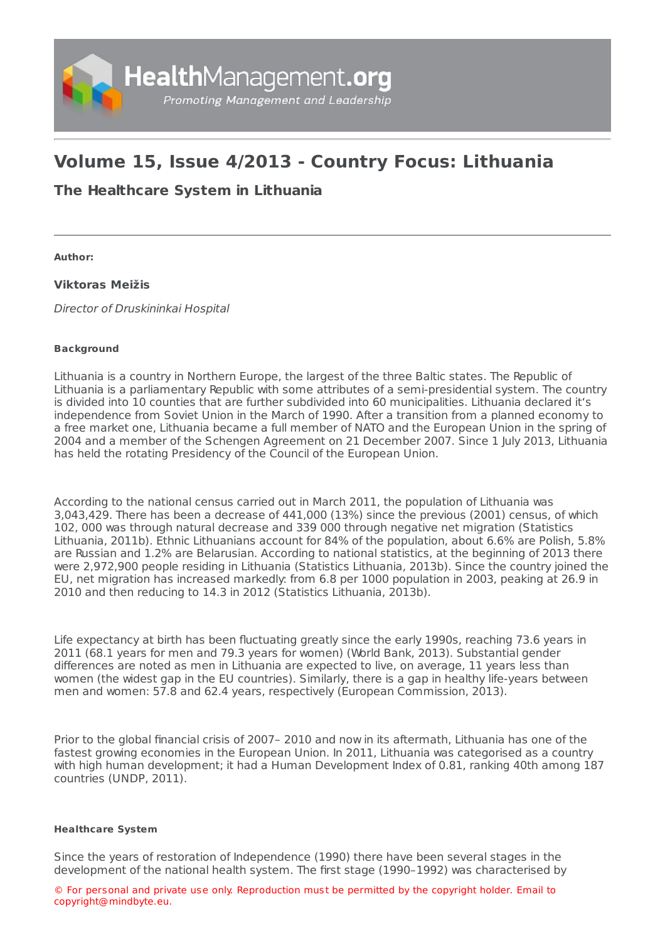

# **Volume 15, Issue 4/2013 - Country Focus: Lithuania**

## **The [Healthcare](https://healthmanagement.org/s/the-healthcare-system-in-lithuania) System in Lithuania**

**Author:**

### **Viktoras Meižis**

Director of Druskininkai Hospital

#### **Background**

Lithuania is a country in Northern Europe, the largest of the three Baltic states. The Republic of Lithuania is a parliamentary Republic with some attributes of a semi-presidential system. The country is divided into 10 counties that are further subdivided into 60 municipalities. Lithuania declared it's independence from Soviet Union in the March of 1990. After a transition from a planned economy to a free market one, Lithuania became a full member of NATO and the European Union in the spring of 2004 and a member of the Schengen Agreement on 21 December 2007. Since 1 July 2013, Lithuania has held the rotating Presidency of the Council of the European Union.

According to the national census carried out in March 2011, the population of Lithuania was 3,043,429. There has been a decrease of 441,000 (13%) since the previous (2001) census, of which 102, 000 was through natural decrease and 339 000 through negative net migration (Statistics Lithuania, 2011b). Ethnic Lithuanians account for 84% of the population, about 6.6% are Polish, 5.8% are Russian and 1.2% are Belarusian. According to national statistics, at the beginning of 2013 there were 2,972,900 people residing in Lithuania (Statistics Lithuania, 2013b). Since the country joined the EU, net migration has increased markedly: from 6.8 per 1000 population in 2003, peaking at 26.9 in 2010 and then reducing to 14.3 in 2012 (Statistics Lithuania, 2013b).

Life expectancy at birth has been fluctuating greatly since the early 1990s, reaching 73.6 years in 2011 (68.1 years for men and 79.3 years for women) (World Bank, 2013). Substantial gender differences are noted as men in Lithuania are expected to live, on average, 11 years less than women (the widest gap in the EU countries). Similarly, there is a gap in healthy life-years between men and women: 57.8 and 62.4 years, respectively (European Commission, 2013).

Prior to the global financial crisis of 2007– 2010 and now in its aftermath, Lithuania has one of the fastest growing economies in the European Union. In 2011, Lithuania was categorised as a country with high human development; it had a Human Development Index of 0.81, ranking 40th among 187 countries (UNDP, 2011).

#### **Healthcare System**

Since the years of restoration of Independence (1990) there have been several stages in the development of the national health system. The first stage (1990–1992) was characterised by

© For personal and private use only. Reproduction must be permitted by the copyright holder. Email to copyright@mindbyte.eu.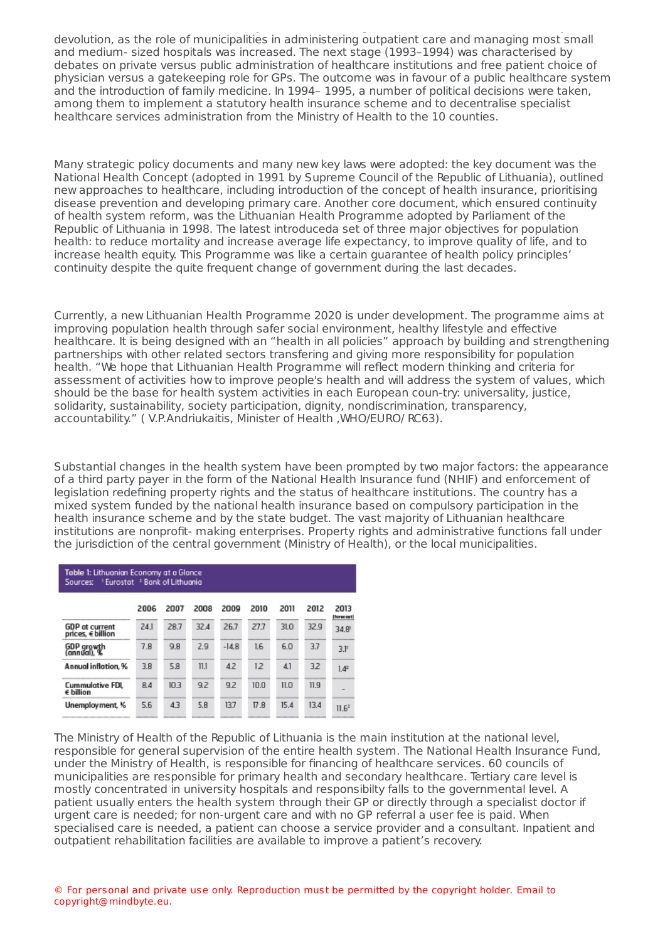development of the national health system. The first stage (1990–1992) was characterised by devolution, as the role of municipalities in administering outpatient care and managing most small and medium- sized hospitals was increased. The next stage (1993–1994) was characterised by debates on private versus public administration of healthcare institutions and free patient choice of physician versus a gatekeeping role for GPs. The outcome was in favour of a public healthcare system and the introduction of family medicine. In 1994– 1995, a number of political decisions were taken, among them to implement a statutory health insurance scheme and to decentralise specialist healthcare services administration from the Ministry of Health to the 10 counties.

Many strategic policy documents and many new key laws were adopted: the key document was the National Health Concept (adopted in 1991 by Supreme Council of the Republic of Lithuania), outlined new approaches to healthcare, including introduction of the concept of health insurance, prioritising disease prevention and developing primary care. Another core document, which ensured continuity of health system reform, was the Lithuanian Health Programme adopted by Parliament of the Republic of Lithuania in 1998. The latest introduceda set of three major objectives for population health: to reduce mortality and increase average life expectancy, to improve quality of life, and to increase health equity. This Programme was like a certain guarantee of health policy principles' continuity despite the quite frequent change of government during the last decades.

Currently, a new Lithuanian Health Programme 2020 is under development. The programme aims at improving population health through safer social environment, healthy lifestyle and effective healthcare. It is being designed with an "health in all policies" approach by building and strengthening partnerships with other related sectors transfering and giving more responsibility for population health. "We hope that Lithuanian Health Programme will reflect modern thinking and criteria for assessment of activities how to improve people's health and will address the system of values, which should be the base for health system activities in each European coun-try: universality, justice, solidarity, sustainability, society participation, dignity, nondiscrimination, transparency, accountability." ( V.P.Andriukaitis, Minister of Health ,WHO/EURO/ RC63).

Substantial changes in the health system have been prompted by two major factors: the appearance of a third party payer in the form of the National Health Insurance fund (NHIF) and enforcement of legislation redefining property rights and the status of healthcare institutions. The country has a mixed system funded by the national health insurance based on compulsory participation in the health insurance scheme and by the state budget. The vast majority of Lithuanian healthcare institutions are nonprofit- making enterprises. Property rights and administrative functions fall under the jurisdiction of the central government (Ministry of Health), or the local municipalities.

| Table 1: Lithuonian Economy at a Glance<br><sup>1</sup> Eurostat <sup>2</sup> Bank of Lithuania<br>Sources: |      |      |      |         |         |      |      |                     |
|-------------------------------------------------------------------------------------------------------------|------|------|------|---------|---------|------|------|---------------------|
|                                                                                                             | 2006 | 2007 | 2008 | 2009    | 2010    | 2011 | 2012 | 2013<br>(Forecraft) |
| <b>GDP</b> at current<br>prices, € billion                                                                  | 24.1 | 28.7 | 32.4 | 26.7    | 27.7    | 31.0 | 32.9 | $34.8^{\circ}$      |
| GDP growth<br>(annual), %                                                                                   | 7.8  | 9.8  | 2.9  | $-14.8$ | 1.6     | 6.0  | 3.7  | 3.1                 |
| Annual inflation, %                                                                                         | 3.8  | 5.8  | 11.1 | 4.2     | 12      | 4.1  | 32   | $1.4^{2}$           |
| <b>Cummulative FDL</b><br>€ billion                                                                         | 8.4  | 10.3 | 9.2  | 9.2     | 10.0    | 11.0 | 11.9 | -                   |
| Unemployment, %                                                                                             | 5.6  | 4.3  | 5.8  | 13.7    | $\Pi.8$ | 15.4 | 13.4 | 11.6 <sup>2</sup>   |
|                                                                                                             |      |      |      |         |         |      |      |                     |

The Ministry of Health of the Republic of Lithuania is the main institution at the national level, responsible for general supervision of the entire health system. The National Health Insurance Fund, under the Ministry of Health, is responsible for financing of healthcare services. 60 councils of municipalities are responsible for primary health and secondary healthcare. Tertiary care level is mostly concentrated in university hospitals and responsibilty falls to the governmental level. A patient usually enters the health system through their GP or directly through a specialist doctor if urgent care is needed; for non-urgent care and with no GP referral a user fee is paid. When specialised care is needed, a patient can choose a service provider and a consultant. Inpatient and outpatient rehabilitation facilities are available to improve a patient's recovery.